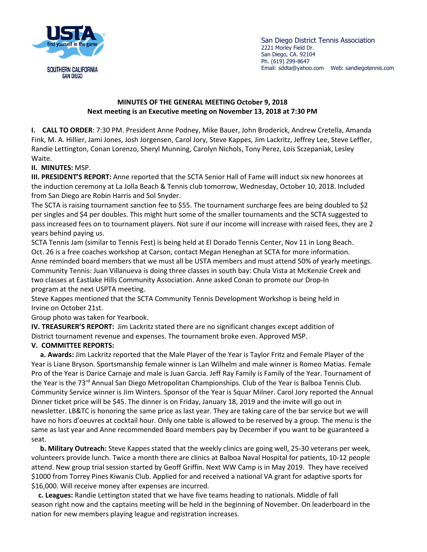

San Diego District Tennis Association 2221 Morley Field Dr. San Diego, CA. 92104 Ph. (619) 299-8647 Email: sddta@yahoo.com Web: sandiegotennis.com

## **MINUTES OF THE GENERAL MEETING October 9, 2018 Next meeting is an Executive meeting on November 13, 2018 at 7:30 PM**

**I. CALL TO ORDER**: 7:30 PM. President Anne Podney, Mike Bauer, John Broderick, Andrew Cretella, Amanda Fink, M. A. Hillier, Jami Jones, Josh Jorgensen, Carol Jory, Steve Kappes, Jim Lackritz, Jeffrey Lee, Steve Leffler, Randie Lettington, Conan Lorenzo, Sheryl Munning, Carolyn Nichols, Tony Perez, Lois Sczepaniak, Lesley Waite.

## **II. MINUTES:** MSP.

**III. PRESIDENT'S REPORT:** Anne reported that the SCTA Senior Hall of Fame will induct six new honorees at the induction ceremony at La Jolla Beach & Tennis club tomorrow, Wednesday, October 10, 2018. Included from San Diego are Robin Harris and Sol Snyder.

The SCTA is raising tournament sanction fee to \$55. The tournament surcharge fees are being doubled to \$2 per singles and \$4 per doubles. This might hurt some of the smaller tournaments and the SCTA suggested to pass increased fees on to tournament players. Not sure if our income will increase with raised fees, they are 2 years behind paying us.

SCTA Tennis Jam (similar to Tennis Fest) is being held at El Dorado Tennis Center, Nov 11 in Long Beach. Oct. 26 is a free coaches workshop at Carson, contact Megan Heneghan at SCTA for more information. Anne reminded board members that we must all be USTA members and must attend 50% of yearly meetings. Community Tennis: Juan Villanueva is doing three classes in south bay: Chula Vista at McKenzie Creek and two classes at Eastlake Hills Community Association. Anne asked Conan to promote our Drop-In program at the next USPTA meeting.

Steve Kappes mentioned that the SCTA Community Tennis Development Workshop is being held in Irvine on October 21st.

Group photo was taken for Yearbook.

**IV. TREASURER'S REPORT:** Jim Lackritz stated there are no significant changes except addition of District tournament revenue and expenses. The tournament broke even. Approved MSP.

## **V. COMMITTEE REPORTS:**

 **a. Awards:** Jim Lackritz reported that the Male Player of the Year is Taylor Fritz and Female Player of the Year is Liane Bryson. Sportsmanship female winner is Lan Wilhelm and male winner is Romeo Matias. Female Pro of the Year is Darice Carnaje and male is Juan Garcia. Jeff Ray Family is Family of the Year. Tournament of the Year is the 73<sup>rd</sup> Annual San Diego Metropolitan Championships. Club of the Year is Balboa Tennis Club. Community Service winner is Jim Winters. Sponsor of the Year is Squar Milner. Carol Jory reported the Annual Dinner ticket price will be \$45. The dinner is on Friday, January 18, 2019 and the invite will go out in newsletter. LB&TC is honoring the same price as last year. They are taking care of the bar service but we will have no hors d'oeuvres at cocktail hour. Only one table is allowed to be reserved by a group. The menu is the same as last year and Anne recommended Board members pay by December if you want to be guaranteed a seat.

 **b. Military Outreach:** Steve Kappes stated that the weekly clinics are going well, 25-30 veterans per week, volunteers provide lunch. Twice a month there are clinics at Balboa Naval Hospital for patients, 10-12 people attend. New group trial session started by Geoff Griffin. Next WW Camp is in May 2019. They have received \$1000 from Torrey Pines Kiwanis Club. Applied for and received a national VA grant for adaptive sports for \$16,000. Will receive money after expenses are incurred.

 **c. Leagues:** Randie Lettington stated that we have five teams heading to nationals. Middle of fall season right now and the captains meeting will be held in the beginning of November. On leaderboard in the nation for new members playing league and registration increases.